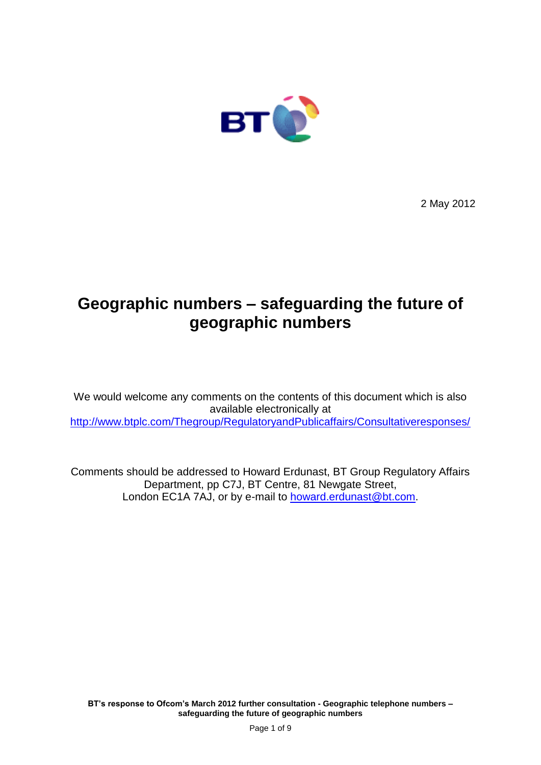

2 May 2012

# **Geographic numbers – safeguarding the future of geographic numbers**

We would welcome any comments on the contents of this document which is also available electronically at <http://www.btplc.com/Thegroup/RegulatoryandPublicaffairs/Consultativeresponses/>

Comments should be addressed to Howard Erdunast, BT Group Regulatory Affairs Department, pp C7J, BT Centre, 81 Newgate Street, London EC1A 7AJ, or by e-mail to [howard.erdunast@bt.com.](mailto:howard.erdunast@bt.com)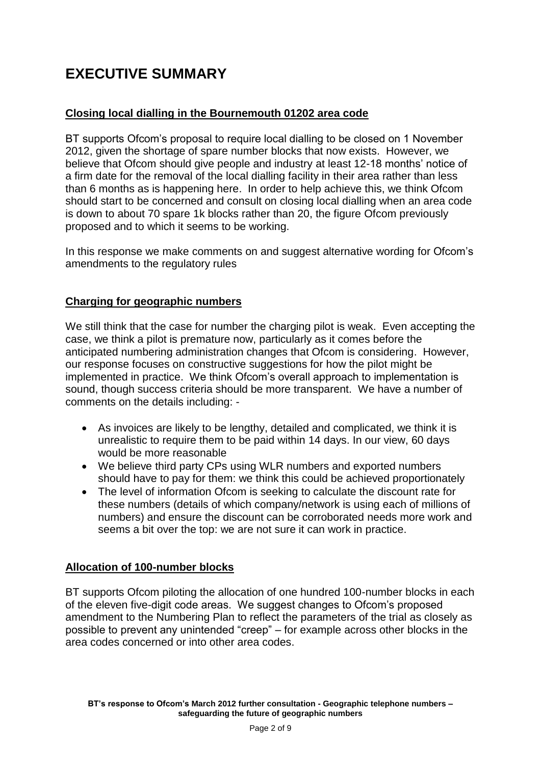# **EXECUTIVE SUMMARY**

# **Closing local dialling in the Bournemouth 01202 area code**

BT supports Ofcom's proposal to require local dialling to be closed on 1 November 2012, given the shortage of spare number blocks that now exists. However, we believe that Ofcom should give people and industry at least 12-18 months' notice of a firm date for the removal of the local dialling facility in their area rather than less than 6 months as is happening here. In order to help achieve this, we think Ofcom should start to be concerned and consult on closing local dialling when an area code is down to about 70 spare 1k blocks rather than 20, the figure Ofcom previously proposed and to which it seems to be working.

In this response we make comments on and suggest alternative wording for Ofcom's amendments to the regulatory rules

# **Charging for geographic numbers**

We still think that the case for number the charging pilot is weak. Even accepting the case, we think a pilot is premature now, particularly as it comes before the anticipated numbering administration changes that Ofcom is considering. However, our response focuses on constructive suggestions for how the pilot might be implemented in practice. We think Ofcom's overall approach to implementation is sound, though success criteria should be more transparent. We have a number of comments on the details including: -

- As invoices are likely to be lengthy, detailed and complicated, we think it is unrealistic to require them to be paid within 14 days. In our view, 60 days would be more reasonable
- We believe third party CPs using WLR numbers and exported numbers should have to pay for them: we think this could be achieved proportionately
- The level of information Ofcom is seeking to calculate the discount rate for these numbers (details of which company/network is using each of millions of numbers) and ensure the discount can be corroborated needs more work and seems a bit over the top: we are not sure it can work in practice.

### **Allocation of 100-number blocks**

BT supports Ofcom piloting the allocation of one hundred 100-number blocks in each of the eleven five-digit code areas. We suggest changes to Ofcom's proposed amendment to the Numbering Plan to reflect the parameters of the trial as closely as possible to prevent any unintended "creep" – for example across other blocks in the area codes concerned or into other area codes.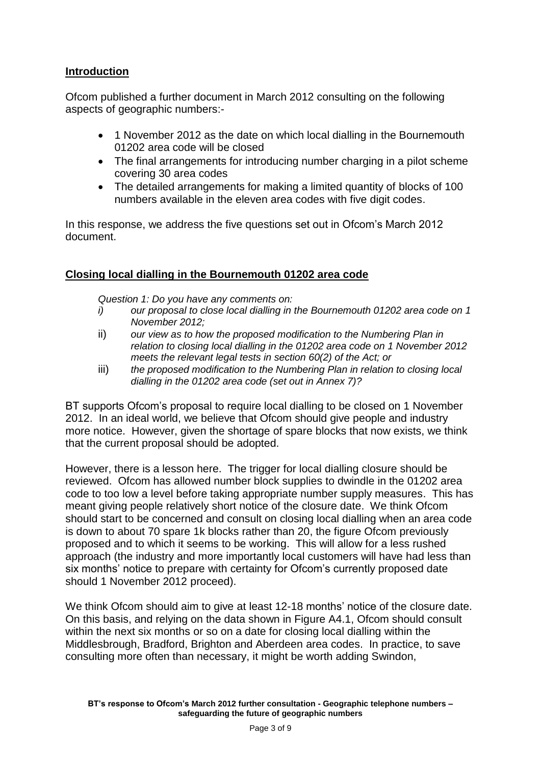### **Introduction**

Ofcom published a further document in March 2012 consulting on the following aspects of geographic numbers:-

- 1 November 2012 as the date on which local dialling in the Bournemouth 01202 area code will be closed
- The final arrangements for introducing number charging in a pilot scheme covering 30 area codes
- The detailed arrangements for making a limited quantity of blocks of 100 numbers available in the eleven area codes with five digit codes.

In this response, we address the five questions set out in Ofcom's March 2012 document.

### **Closing local dialling in the Bournemouth 01202 area code**

*Question 1: Do you have any comments on:* 

- *i) our proposal to close local dialling in the Bournemouth 01202 area code on 1 November 2012;*
- ii) *our view as to how the proposed modification to the Numbering Plan in relation to closing local dialling in the 01202 area code on 1 November 2012 meets the relevant legal tests in section 60(2) of the Act; or*
- iii) *the proposed modification to the Numbering Plan in relation to closing local dialling in the 01202 area code (set out in Annex 7)?*

BT supports Ofcom's proposal to require local dialling to be closed on 1 November 2012. In an ideal world, we believe that Ofcom should give people and industry more notice. However, given the shortage of spare blocks that now exists, we think that the current proposal should be adopted.

However, there is a lesson here. The trigger for local dialling closure should be reviewed. Ofcom has allowed number block supplies to dwindle in the 01202 area code to too low a level before taking appropriate number supply measures. This has meant giving people relatively short notice of the closure date. We think Ofcom should start to be concerned and consult on closing local dialling when an area code is down to about 70 spare 1k blocks rather than 20, the figure Ofcom previously proposed and to which it seems to be working. This will allow for a less rushed approach (the industry and more importantly local customers will have had less than six months' notice to prepare with certainty for Ofcom's currently proposed date should 1 November 2012 proceed).

We think Ofcom should aim to give at least 12-18 months' notice of the closure date. On this basis, and relying on the data shown in Figure A4.1, Ofcom should consult within the next six months or so on a date for closing local dialling within the Middlesbrough, Bradford, Brighton and Aberdeen area codes. In practice, to save consulting more often than necessary, it might be worth adding Swindon,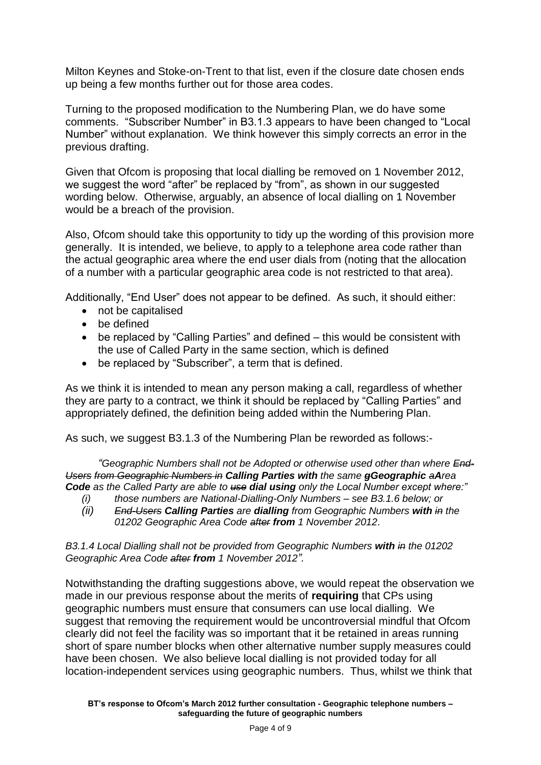Milton Keynes and Stoke-on-Trent to that list, even if the closure date chosen ends up being a few months further out for those area codes.

Turning to the proposed modification to the Numbering Plan, we do have some comments. "Subscriber Number" in B3.1.3 appears to have been changed to "Local Number" without explanation. We think however this simply corrects an error in the previous drafting.

Given that Ofcom is proposing that local dialling be removed on 1 November 2012, we suggest the word "after" be replaced by "from", as shown in our suggested wording below. Otherwise, arguably, an absence of local dialling on 1 November would be a breach of the provision.

Also, Ofcom should take this opportunity to tidy up the wording of this provision more generally. It is intended, we believe, to apply to a telephone area code rather than the actual geographic area where the end user dials from (noting that the allocation of a number with a particular geographic area code is not restricted to that area).

Additionally, "End User" does not appear to be defined. As such, it should either:

- not be capitalised
- be defined
- be replaced by "Calling Parties" and defined this would be consistent with the use of Called Party in the same section, which is defined
- be replaced by "Subscriber", a term that is defined.

As we think it is intended to mean any person making a call, regardless of whether they are party to a contract, we think it should be replaced by "Calling Parties" and appropriately defined, the definition being added within the Numbering Plan.

As such, we suggest B3.1.3 of the Numbering Plan be reworded as follows:-

*"Geographic Numbers shall not be Adopted or otherwise used other than where End-Users from Geographic Numbers in Calling Parties with the same gGeographic aArea Code as the Called Party are able to use dial using only the Local Number except where:"*

- *(i) those numbers are National-Dialling-Only Numbers – see B3.1.6 below; or*
- *(ii) End-Users Calling Parties are dialling from Geographic Numbers with in the 01202 Geographic Area Code after from 1 November 2012*.

*B3.1.4 Local Dialling shall not be provided from Geographic Numbers with in the 01202 Geographic Area Code after from 1 November 2012".*

Notwithstanding the drafting suggestions above, we would repeat the observation we made in our previous response about the merits of **requiring** that CPs using geographic numbers must ensure that consumers can use local dialling. We suggest that removing the requirement would be uncontroversial mindful that Ofcom clearly did not feel the facility was so important that it be retained in areas running short of spare number blocks when other alternative number supply measures could have been chosen. We also believe local dialling is not provided today for all location-independent services using geographic numbers. Thus, whilst we think that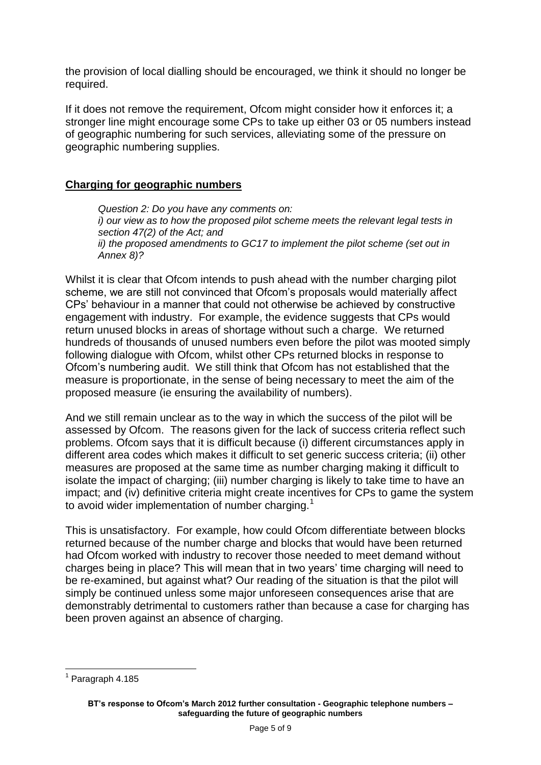the provision of local dialling should be encouraged, we think it should no longer be required.

If it does not remove the requirement, Ofcom might consider how it enforces it; a stronger line might encourage some CPs to take up either 03 or 05 numbers instead of geographic numbering for such services, alleviating some of the pressure on geographic numbering supplies.

#### **Charging for geographic numbers**

*Question 2: Do you have any comments on: i) our view as to how the proposed pilot scheme meets the relevant legal tests in section 47(2) of the Act; and ii) the proposed amendments to GC17 to implement the pilot scheme (set out in Annex 8)?*

Whilst it is clear that Ofcom intends to push ahead with the number charging pilot scheme, we are still not convinced that Ofcom's proposals would materially affect CPs' behaviour in a manner that could not otherwise be achieved by constructive engagement with industry. For example, the evidence suggests that CPs would return unused blocks in areas of shortage without such a charge. We returned hundreds of thousands of unused numbers even before the pilot was mooted simply following dialogue with Ofcom, whilst other CPs returned blocks in response to Ofcom's numbering audit. We still think that Ofcom has not established that the measure is proportionate, in the sense of being necessary to meet the aim of the proposed measure (ie ensuring the availability of numbers).

And we still remain unclear as to the way in which the success of the pilot will be assessed by Ofcom. The reasons given for the lack of success criteria reflect such problems. Ofcom says that it is difficult because (i) different circumstances apply in different area codes which makes it difficult to set generic success criteria; (ii) other measures are proposed at the same time as number charging making it difficult to isolate the impact of charging; (iii) number charging is likely to take time to have an impact; and (iv) definitive criteria might create incentives for CPs to game the system to avoid wider implementation of number charging.<sup>1</sup>

This is unsatisfactory. For example, how could Ofcom differentiate between blocks returned because of the number charge and blocks that would have been returned had Ofcom worked with industry to recover those needed to meet demand without charges being in place? This will mean that in two years' time charging will need to be re-examined, but against what? Our reading of the situation is that the pilot will simply be continued unless some major unforeseen consequences arise that are demonstrably detrimental to customers rather than because a case for charging has been proven against an absence of charging.

<sup>1</sup> <sup>1</sup> Paragraph 4.185

**BT's response to Ofcom's March 2012 further consultation - Geographic telephone numbers – safeguarding the future of geographic numbers**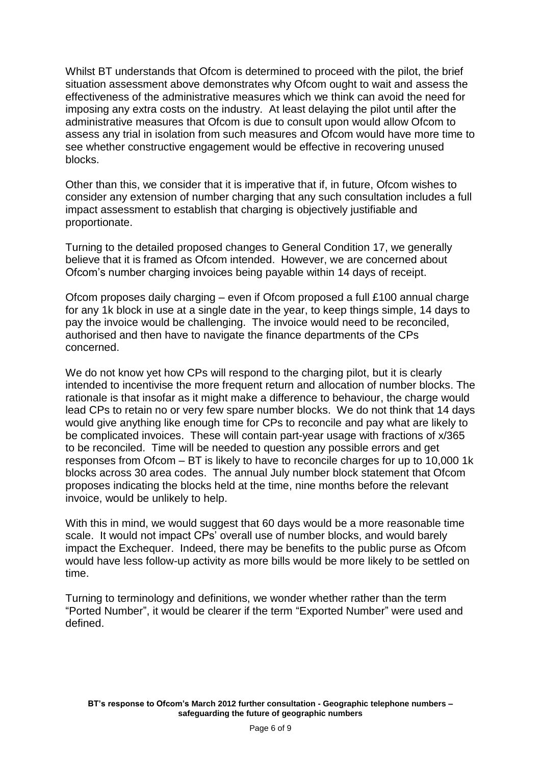Whilst BT understands that Ofcom is determined to proceed with the pilot, the brief situation assessment above demonstrates why Ofcom ought to wait and assess the effectiveness of the administrative measures which we think can avoid the need for imposing any extra costs on the industry. At least delaying the pilot until after the administrative measures that Ofcom is due to consult upon would allow Ofcom to assess any trial in isolation from such measures and Ofcom would have more time to see whether constructive engagement would be effective in recovering unused blocks.

Other than this, we consider that it is imperative that if, in future, Ofcom wishes to consider any extension of number charging that any such consultation includes a full impact assessment to establish that charging is objectively justifiable and proportionate.

Turning to the detailed proposed changes to General Condition 17, we generally believe that it is framed as Ofcom intended. However, we are concerned about Ofcom's number charging invoices being payable within 14 days of receipt.

Ofcom proposes daily charging – even if Ofcom proposed a full £100 annual charge for any 1k block in use at a single date in the year, to keep things simple, 14 days to pay the invoice would be challenging. The invoice would need to be reconciled, authorised and then have to navigate the finance departments of the CPs concerned.

We do not know yet how CPs will respond to the charging pilot, but it is clearly intended to incentivise the more frequent return and allocation of number blocks. The rationale is that insofar as it might make a difference to behaviour, the charge would lead CPs to retain no or very few spare number blocks. We do not think that 14 days would give anything like enough time for CPs to reconcile and pay what are likely to be complicated invoices. These will contain part-year usage with fractions of x/365 to be reconciled. Time will be needed to question any possible errors and get responses from Ofcom – BT is likely to have to reconcile charges for up to 10,000 1k blocks across 30 area codes. The annual July number block statement that Ofcom proposes indicating the blocks held at the time, nine months before the relevant invoice, would be unlikely to help.

With this in mind, we would suggest that 60 days would be a more reasonable time scale. It would not impact CPs' overall use of number blocks, and would barely impact the Exchequer. Indeed, there may be benefits to the public purse as Ofcom would have less follow-up activity as more bills would be more likely to be settled on time.

Turning to terminology and definitions, we wonder whether rather than the term "Ported Number", it would be clearer if the term "Exported Number" were used and defined.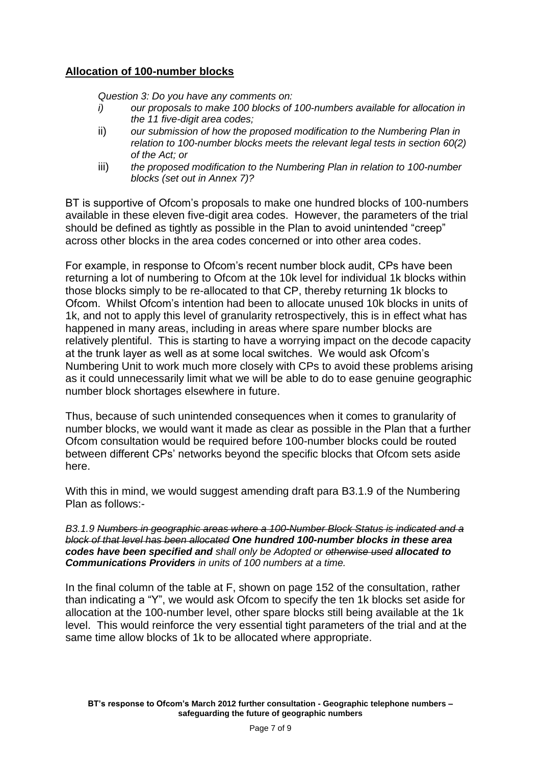### **Allocation of 100-number blocks**

*Question 3: Do you have any comments on:* 

- *i) our proposals to make 100 blocks of 100-numbers available for allocation in the 11 five-digit area codes;*
- ii) *our submission of how the proposed modification to the Numbering Plan in relation to 100-number blocks meets the relevant legal tests in section 60(2) of the Act; or*
- iii) *the proposed modification to the Numbering Plan in relation to 100-number blocks (set out in Annex 7)?*

BT is supportive of Ofcom's proposals to make one hundred blocks of 100-numbers available in these eleven five-digit area codes. However, the parameters of the trial should be defined as tightly as possible in the Plan to avoid unintended "creep" across other blocks in the area codes concerned or into other area codes.

For example, in response to Ofcom's recent number block audit, CPs have been returning a lot of numbering to Ofcom at the 10k level for individual 1k blocks within those blocks simply to be re-allocated to that CP, thereby returning 1k blocks to Ofcom. Whilst Ofcom's intention had been to allocate unused 10k blocks in units of 1k, and not to apply this level of granularity retrospectively, this is in effect what has happened in many areas, including in areas where spare number blocks are relatively plentiful. This is starting to have a worrying impact on the decode capacity at the trunk layer as well as at some local switches. We would ask Ofcom's Numbering Unit to work much more closely with CPs to avoid these problems arising as it could unnecessarily limit what we will be able to do to ease genuine geographic number block shortages elsewhere in future.

Thus, because of such unintended consequences when it comes to granularity of number blocks, we would want it made as clear as possible in the Plan that a further Ofcom consultation would be required before 100-number blocks could be routed between different CPs' networks beyond the specific blocks that Ofcom sets aside here.

With this in mind, we would suggest amending draft para B3.1.9 of the Numbering Plan as follows:-

*B3.1.9 Numbers in geographic areas where a 100-Number Block Status is indicated and a block of that level has been allocated One hundred 100-number blocks in these area codes have been specified and shall only be Adopted or otherwise used allocated to Communications Providers in units of 100 numbers at a time.*

In the final column of the table at F, shown on page 152 of the consultation, rather than indicating a "Y", we would ask Ofcom to specify the ten 1k blocks set aside for allocation at the 100-number level, other spare blocks still being available at the 1k level. This would reinforce the very essential tight parameters of the trial and at the same time allow blocks of 1k to be allocated where appropriate.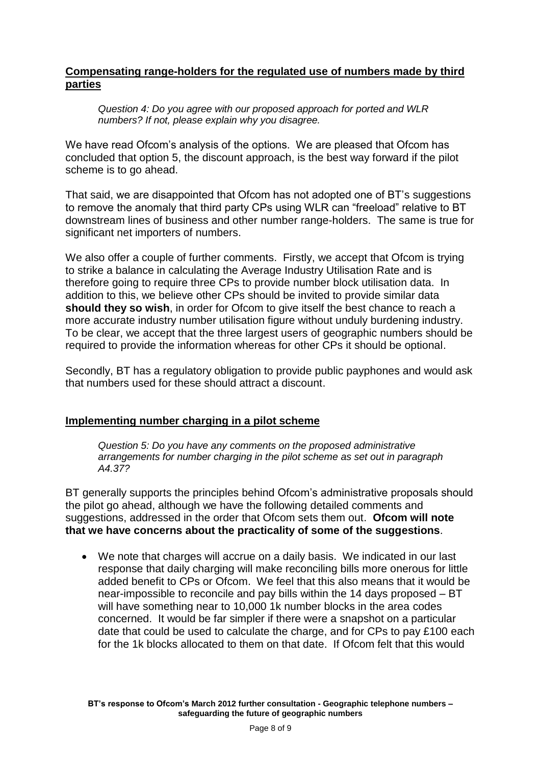#### **Compensating range-holders for the regulated use of numbers made by third parties**

*Question 4: Do you agree with our proposed approach for ported and WLR numbers? If not, please explain why you disagree.*

We have read Ofcom's analysis of the options. We are pleased that Ofcom has concluded that option 5, the discount approach, is the best way forward if the pilot scheme is to go ahead.

That said, we are disappointed that Ofcom has not adopted one of BT's suggestions to remove the anomaly that third party CPs using WLR can "freeload" relative to BT downstream lines of business and other number range-holders. The same is true for significant net importers of numbers.

We also offer a couple of further comments. Firstly, we accept that Ofcom is trying to strike a balance in calculating the Average Industry Utilisation Rate and is therefore going to require three CPs to provide number block utilisation data. In addition to this, we believe other CPs should be invited to provide similar data **should they so wish**, in order for Ofcom to give itself the best chance to reach a more accurate industry number utilisation figure without unduly burdening industry. To be clear, we accept that the three largest users of geographic numbers should be required to provide the information whereas for other CPs it should be optional.

Secondly, BT has a regulatory obligation to provide public payphones and would ask that numbers used for these should attract a discount.

#### **Implementing number charging in a pilot scheme**

*Question 5: Do you have any comments on the proposed administrative arrangements for number charging in the pilot scheme as set out in paragraph A4.37?*

BT generally supports the principles behind Ofcom's administrative proposals should the pilot go ahead, although we have the following detailed comments and suggestions, addressed in the order that Ofcom sets them out. **Ofcom will note that we have concerns about the practicality of some of the suggestions**.

 We note that charges will accrue on a daily basis. We indicated in our last response that daily charging will make reconciling bills more onerous for little added benefit to CPs or Ofcom. We feel that this also means that it would be near-impossible to reconcile and pay bills within the 14 days proposed – BT will have something near to 10,000 1k number blocks in the area codes concerned. It would be far simpler if there were a snapshot on a particular date that could be used to calculate the charge, and for CPs to pay £100 each for the 1k blocks allocated to them on that date. If Ofcom felt that this would